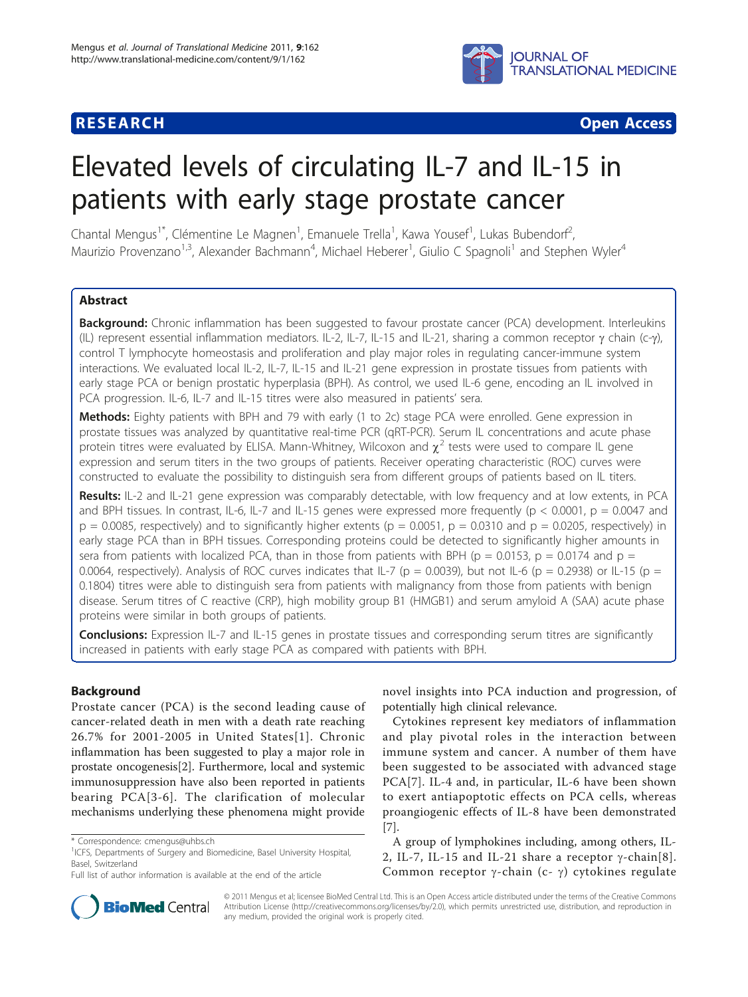## **JOURNAL OF TRANSLATIONAL MEDICINE**

**RESEARCH CONTROL** CONTROL CONTROL CONTROL CONTROL CONTROL CONTROL CONTROL CONTROL CONTROL CONTROL CONTROL CONTROL CONTROL CONTROL CONTROL CONTROL CONTROL CONTROL CONTROL CONTROL CONTROL CONTROL CONTROL CONTROL CONTROL CON

# Elevated levels of circulating IL-7 and IL-15 in patients with early stage prostate cancer

Chantal Mengus<sup>1\*</sup>, Clémentine Le Magnen<sup>1</sup>, Emanuele Trella<sup>1</sup>, Kawa Yousef<sup>1</sup>, Lukas Bubendorf<sup>2</sup> , Maurizio Provenzano<sup>1,3</sup>, Alexander Bachmann<sup>4</sup>, Michael Heberer<sup>1</sup>, Giulio C Spagnoli<sup>1</sup> and Stephen Wyler<sup>4</sup>

### Abstract

Background: Chronic inflammation has been suggested to favour prostate cancer (PCA) development. Interleukins (IL) represent essential inflammation mediators. IL-2, IL-7, IL-15 and IL-21, sharing a common receptor  $\gamma$  chain (c- $\gamma$ ), control T lymphocyte homeostasis and proliferation and play major roles in regulating cancer-immune system interactions. We evaluated local IL-2, IL-7, IL-15 and IL-21 gene expression in prostate tissues from patients with early stage PCA or benign prostatic hyperplasia (BPH). As control, we used IL-6 gene, encoding an IL involved in PCA progression. IL-6, IL-7 and IL-15 titres were also measured in patients' sera.

Methods: Eighty patients with BPH and 79 with early (1 to 2c) stage PCA were enrolled. Gene expression in prostate tissues was analyzed by quantitative real-time PCR (qRT-PCR). Serum IL concentrations and acute phase protein titres were evaluated by ELISA. Mann-Whitney, Wilcoxon and  $\chi^2$  tests were used to compare IL gene expression and serum titers in the two groups of patients. Receiver operating characteristic (ROC) curves were constructed to evaluate the possibility to distinguish sera from different groups of patients based on IL titers.

Results: IL-2 and IL-21 gene expression was comparably detectable, with low frequency and at low extents, in PCA and BPH tissues. In contrast, IL-6, IL-7 and IL-15 genes were expressed more frequently ( $p < 0.0001$ ,  $p = 0.0047$  and  $p = 0.0085$ , respectively) and to significantly higher extents ( $p = 0.0051$ ,  $p = 0.0310$  and  $p = 0.0205$ , respectively) in early stage PCA than in BPH tissues. Corresponding proteins could be detected to significantly higher amounts in sera from patients with localized PCA, than in those from patients with BPH ( $p = 0.0153$ ,  $p = 0.0174$  and  $p =$ 0.0064, respectively). Analysis of ROC curves indicates that IL-7 (p = 0.0039), but not IL-6 (p = 0.2938) or IL-15 (p = 0.1804) titres were able to distinguish sera from patients with malignancy from those from patients with benign disease. Serum titres of C reactive (CRP), high mobility group B1 (HMGB1) and serum amyloid A (SAA) acute phase proteins were similar in both groups of patients.

Conclusions: Expression IL-7 and IL-15 genes in prostate tissues and corresponding serum titres are significantly increased in patients with early stage PCA as compared with patients with BPH.

#### Background

Prostate cancer (PCA) is the second leading cause of cancer-related death in men with a death rate reaching 26.7% for 2001-2005 in United States[[1](#page-6-0)]. Chronic inflammation has been suggested to play a major role in prostate oncogenesis[[2\]](#page-6-0). Furthermore, local and systemic immunosuppression have also been reported in patients bearing PCA[[3-6](#page-6-0)]. The clarification of molecular mechanisms underlying these phenomena might provide



Cytokines represent key mediators of inflammation and play pivotal roles in the interaction between immune system and cancer. A number of them have been suggested to be associated with advanced stage PCA[[7\]](#page-6-0). IL-4 and, in particular, IL-6 have been shown to exert antiapoptotic effects on PCA cells, whereas proangiogenic effects of IL-8 have been demonstrated [[7\]](#page-6-0).

A group of lymphokines including, among others, IL-2, IL-7, IL-15 and IL-21 share a receptor  $\gamma$ -chain[[8\]](#page-6-0). Common receptor  $\gamma$ -chain (c-  $\gamma$ ) cytokines regulate



© 2011 Mengus et al; licensee BioMed Central Ltd. This is an Open Access article distributed under the terms of the Creative Commons Attribution License [\(http://creativecommons.org/licenses/by/2.0](http://creativecommons.org/licenses/by/2.0)), which permits unrestricted use, distribution, and reproduction in any medium, provided the original work is properly cited.

<sup>\*</sup> Correspondence: [cmengus@uhbs.ch](mailto:cmengus@uhbs.ch)

<sup>&</sup>lt;sup>1</sup>ICFS, Departments of Surgery and Biomedicine, Basel University Hospital, Basel, Switzerland

Full list of author information is available at the end of the article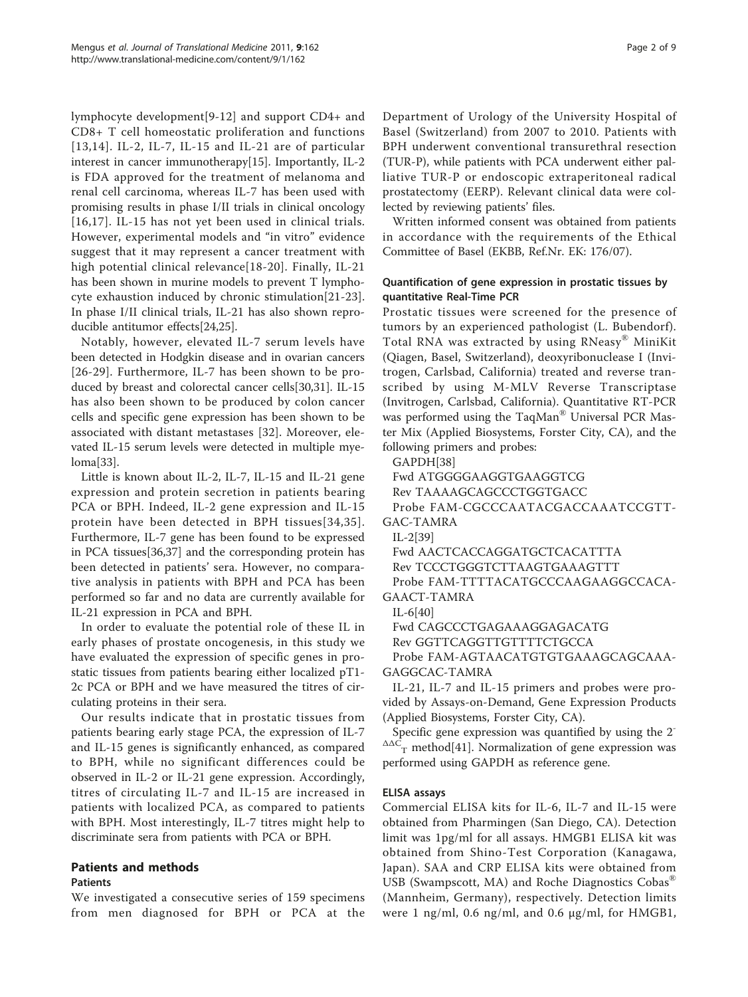lymphocyte development[\[9](#page-6-0)-[12](#page-6-0)] and support CD4+ and CD8+ T cell homeostatic proliferation and functions [[13,14\]](#page-6-0). IL-2, IL-7, IL-15 and IL-21 are of particular interest in cancer immunotherapy[[15](#page-6-0)]. Importantly, IL-2 is FDA approved for the treatment of melanoma and renal cell carcinoma, whereas IL-7 has been used with promising results in phase I/II trials in clinical oncology [[16,17](#page-6-0)]. IL-15 has not yet been used in clinical trials. However, experimental models and "in vitro" evidence suggest that it may represent a cancer treatment with high potential clinical relevance[[18](#page-6-0)-[20](#page-6-0)]. Finally, IL-21 has been shown in murine models to prevent T lymphocyte exhaustion induced by chronic stimulation[\[21](#page-6-0)-[23](#page-7-0)]. In phase I/II clinical trials, IL-21 has also shown reproducible antitumor effects[\[24,25\]](#page-7-0).

Notably, however, elevated IL-7 serum levels have been detected in Hodgkin disease and in ovarian cancers [[26](#page-7-0)-[29](#page-7-0)]. Furthermore, IL-7 has been shown to be produced by breast and colorectal cancer cells[[30,31\]](#page-7-0). IL-15 has also been shown to be produced by colon cancer cells and specific gene expression has been shown to be associated with distant metastases [[32](#page-7-0)]. Moreover, elevated IL-15 serum levels were detected in multiple myeloma[[33\]](#page-7-0).

Little is known about IL-2, IL-7, IL-15 and IL-21 gene expression and protein secretion in patients bearing PCA or BPH. Indeed, IL-2 gene expression and IL-15 protein have been detected in BPH tissues[[34](#page-7-0),[35\]](#page-7-0). Furthermore, IL-7 gene has been found to be expressed in PCA tissues[[36,37\]](#page-7-0) and the corresponding protein has been detected in patients' sera. However, no comparative analysis in patients with BPH and PCA has been performed so far and no data are currently available for IL-21 expression in PCA and BPH.

In order to evaluate the potential role of these IL in early phases of prostate oncogenesis, in this study we have evaluated the expression of specific genes in prostatic tissues from patients bearing either localized pT1- 2c PCA or BPH and we have measured the titres of circulating proteins in their sera.

Our results indicate that in prostatic tissues from patients bearing early stage PCA, the expression of IL-7 and IL-15 genes is significantly enhanced, as compared to BPH, while no significant differences could be observed in IL-2 or IL-21 gene expression. Accordingly, titres of circulating IL-7 and IL-15 are increased in patients with localized PCA, as compared to patients with BPH. Most interestingly, IL-7 titres might help to discriminate sera from patients with PCA or BPH.

#### Patients and methods

#### Patients

We investigated a consecutive series of 159 specimens from men diagnosed for BPH or PCA at the Department of Urology of the University Hospital of Basel (Switzerland) from 2007 to 2010. Patients with BPH underwent conventional transurethral resection (TUR-P), while patients with PCA underwent either palliative TUR-P or endoscopic extraperitoneal radical prostatectomy (EERP). Relevant clinical data were collected by reviewing patients' files.

Written informed consent was obtained from patients in accordance with the requirements of the Ethical Committee of Basel (EKBB, Ref.Nr. EK: 176/07).

#### Quantification of gene expression in prostatic tissues by quantitative Real-Time PCR

Prostatic tissues were screened for the presence of tumors by an experienced pathologist (L. Bubendorf). Total RNA was extracted by using RNeasy® MiniKit (Qiagen, Basel, Switzerland), deoxyribonuclease I (Invitrogen, Carlsbad, California) treated and reverse transcribed by using M-MLV Reverse Transcriptase (Invitrogen, Carlsbad, California). Quantitative RT-PCR was performed using the TaqMan® Universal PCR Master Mix (Applied Biosystems, Forster City, CA), and the following primers and probes:

GAPDH[\[38\]](#page-7-0)

Fwd ATGGGGAAGGTGAAGGTCG

Rev TAAAAGCAGCCCTGGTGACC

Probe FAM-CGCCCAATACGACCAAATCCGTT-GAC-TAMRA

IL-2[\[39\]](#page-7-0)

Fwd AACTCACCAGGATGCTCACATTTA

Rev TCCCTGGGTCTTAAGTGAAAGTTT

Probe FAM-TTTTACATGCCCAAGAAGGCCACA-GAACT-TAMRA

IL-6[\[40\]](#page-7-0)

Fwd CAGCCCTGAGAAAGGAGACATG

Rev GGTTCAGGTTGTTTTCTGCCA

Probe FAM-AGTAACATGTGTGAAAGCAGCAAA-GAGGCAC-TAMRA

IL-21, IL-7 and IL-15 primers and probes were provided by Assays-on-Demand, Gene Expression Products (Applied Biosystems, Forster City, CA).

Specific gene expression was quantified by using the 2-  $\Delta\Delta C$ <sub>T</sub> method[\[41](#page-7-0)]. Normalization of gene expression was performed using GAPDH as reference gene.

#### ELISA assays

Commercial ELISA kits for IL-6, IL-7 and IL-15 were obtained from Pharmingen (San Diego, CA). Detection limit was 1pg/ml for all assays. HMGB1 ELISA kit was obtained from Shino-Test Corporation (Kanagawa, Japan). SAA and CRP ELISA kits were obtained from USB (Swampscott, MA) and Roche Diagnostics Cobas® (Mannheim, Germany), respectively. Detection limits were 1 ng/ml, 0.6 ng/ml, and 0.6 μg/ml, for HMGB1,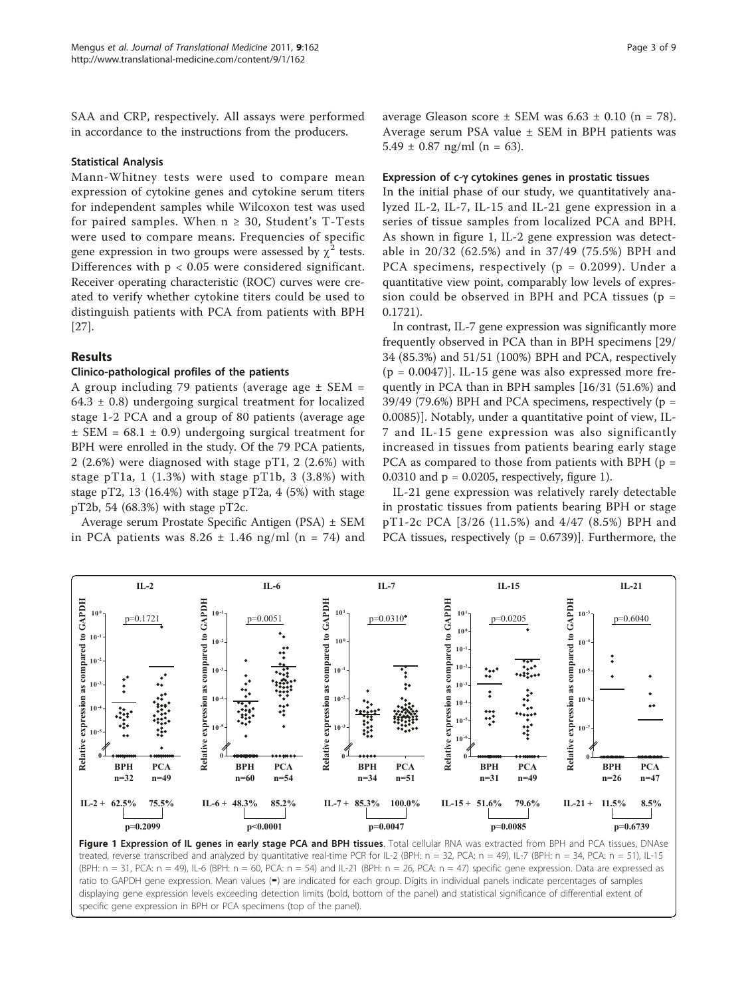<span id="page-2-0"></span>SAA and CRP, respectively. All assays were performed in accordance to the instructions from the producers.

#### Statistical Analysis

Mann-Whitney tests were used to compare mean expression of cytokine genes and cytokine serum titers for independent samples while Wilcoxon test was used for paired samples. When  $n \geq 30$ , Student's T-Tests were used to compare means. Frequencies of specific gene expression in two groups were assessed by  $\chi^2$  tests. Differences with  $p < 0.05$  were considered significant. Receiver operating characteristic (ROC) curves were created to verify whether cytokine titers could be used to distinguish patients with PCA from patients with BPH [[27\]](#page-7-0).

#### Results

#### Clinico-pathological profiles of the patients

A group including 79 patients (average age  $\pm$  SEM = 64.3  $\pm$  0.8) undergoing surgical treatment for localized stage 1-2 PCA and a group of 80 patients (average age  $\pm$  SEM = 68.1  $\pm$  0.9) undergoing surgical treatment for BPH were enrolled in the study. Of the 79 PCA patients, 2 (2.6%) were diagnosed with stage pT1, 2 (2.6%) with stage pT1a, 1  $(1.3%)$  with stage pT1b, 3  $(3.8%)$  with stage pT2, 13 (16.4%) with stage pT2a, 4 (5%) with stage pT2b, 54 (68.3%) with stage pT2c.

Average serum Prostate Specific Antigen (PSA) ± SEM in PCA patients was  $8.26 \pm 1.46$  ng/ml (n = 74) and

#### Expression of c-g cytokines genes in prostatic tissues

In the initial phase of our study, we quantitatively analyzed IL-2, IL-7, IL-15 and IL-21 gene expression in a series of tissue samples from localized PCA and BPH. As shown in figure 1, IL-2 gene expression was detectable in 20/32 (62.5%) and in 37/49 (75.5%) BPH and PCA specimens, respectively (p = 0.2099). Under a quantitative view point, comparably low levels of expression could be observed in BPH and PCA tissues ( $p =$ 0.1721).

In contrast, IL-7 gene expression was significantly more frequently observed in PCA than in BPH specimens [29/ 34 (85.3%) and 51/51 (100%) BPH and PCA, respectively  $(p = 0.0047)$ ]. IL-15 gene was also expressed more frequently in PCA than in BPH samples [16/31 (51.6%) and 39/49 (79.6%) BPH and PCA specimens, respectively ( $p =$ 0.0085)]. Notably, under a quantitative point of view, IL-7 and IL-15 gene expression was also significantly increased in tissues from patients bearing early stage PCA as compared to those from patients with BPH ( $p =$  $0.0310$  and  $p = 0.0205$ , respectively, figure 1).

IL-21 gene expression was relatively rarely detectable in prostatic tissues from patients bearing BPH or stage pT1-2c PCA [3/26 (11.5%) and 4/47 (8.5%) BPH and PCA tissues, respectively ( $p = 0.6739$ )]. Furthermore, the



Figure 1 Expression of IL genes in early stage PCA and BPH tissues. Total cellular RNA was extracted from BPH and PCA tissues, DNAse treated, reverse transcribed and analyzed by quantitative real-time PCR for IL-2 (BPH: n = 32, PCA: n = 49), IL-7 (BPH: n = 34, PCA: n = 51), IL-15 (BPH: n = 31, PCA: n = 49), IL-6 (BPH: n = 60, PCA: n = 54) and IL-21 (BPH: n = 26, PCA: n = 47) specific gene expression. Data are expressed as ratio to GAPDH gene expression. Mean values (▬) are indicated for each group. Digits in individual panels indicate percentages of samples displaying gene expression levels exceeding detection limits (bold, bottom of the panel) and statistical significance of differential extent of specific gene expression in BPH or PCA specimens (top of the panel).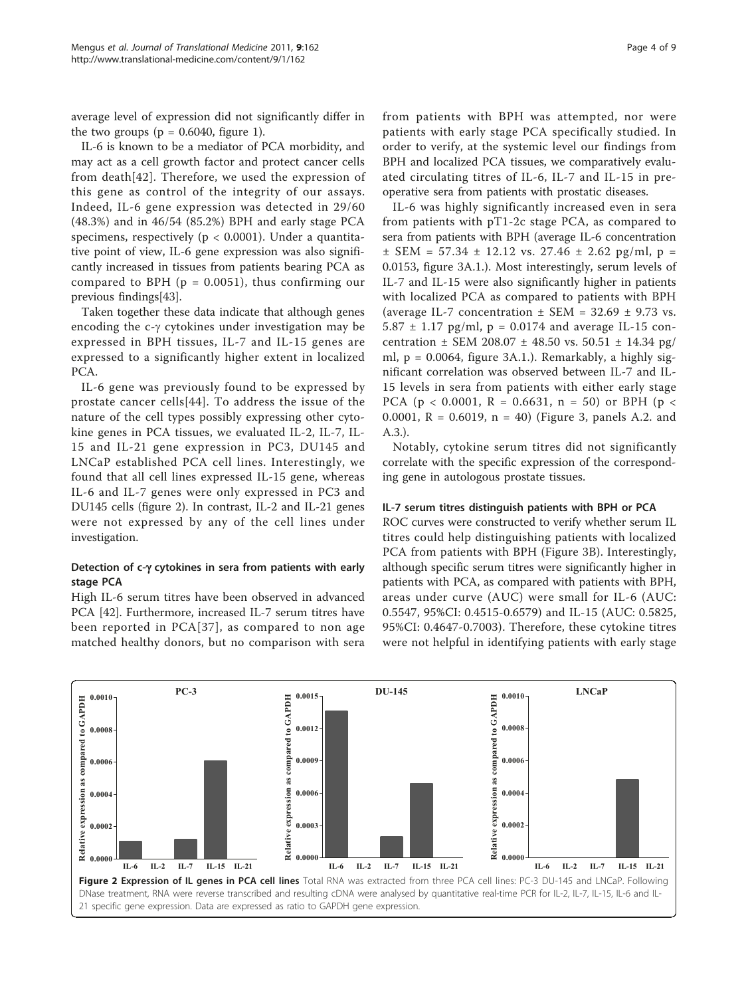average level of expression did not significantly differ in the two groups ( $p = 0.6040$ , figure [1\)](#page-2-0).

IL-6 is known to be a mediator of PCA morbidity, and may act as a cell growth factor and protect cancer cells from death[\[42\]](#page-7-0). Therefore, we used the expression of this gene as control of the integrity of our assays. Indeed, IL-6 gene expression was detected in 29/60 (48.3%) and in 46/54 (85.2%) BPH and early stage PCA specimens, respectively ( $p < 0.0001$ ). Under a quantitative point of view, IL-6 gene expression was also significantly increased in tissues from patients bearing PCA as compared to BPH ( $p = 0.0051$ ), thus confirming our previous findings[[43\]](#page-7-0).

Taken together these data indicate that although genes encoding the  $c-\gamma$  cytokines under investigation may be expressed in BPH tissues, IL-7 and IL-15 genes are expressed to a significantly higher extent in localized PCA.

IL-6 gene was previously found to be expressed by prostate cancer cells[\[44\]](#page-7-0). To address the issue of the nature of the cell types possibly expressing other cytokine genes in PCA tissues, we evaluated IL-2, IL-7, IL-15 and IL-21 gene expression in PC3, DU145 and LNCaP established PCA cell lines. Interestingly, we found that all cell lines expressed IL-15 gene, whereas IL-6 and IL-7 genes were only expressed in PC3 and DU145 cells (figure 2). In contrast, IL-2 and IL-21 genes were not expressed by any of the cell lines under investigation.

#### Detection of  $c-\gamma$  cytokines in sera from patients with early stage PCA

High IL-6 serum titres have been observed in advanced PCA [\[42\]](#page-7-0). Furthermore, increased IL-7 serum titres have been reported in PCA[[37](#page-7-0)], as compared to non age matched healthy donors, but no comparison with sera from patients with BPH was attempted, nor were patients with early stage PCA specifically studied. In order to verify, at the systemic level our findings from BPH and localized PCA tissues, we comparatively evaluated circulating titres of IL-6, IL-7 and IL-15 in preoperative sera from patients with prostatic diseases.

IL-6 was highly significantly increased even in sera from patients with pT1-2c stage PCA, as compared to sera from patients with BPH (average IL-6 concentration  $\pm$  SEM = 57.34  $\pm$  12.12 vs. 27.46  $\pm$  2.62 pg/ml, p = 0.0153, figure [3A](#page-4-0).1.). Most interestingly, serum levels of IL-7 and IL-15 were also significantly higher in patients with localized PCA as compared to patients with BPH (average IL-7 concentration  $\pm$  SEM = 32.69  $\pm$  9.73 vs. 5.87  $\pm$  1.17 pg/ml, p = 0.0174 and average IL-15 concentration  $\pm$  SEM 208.07  $\pm$  48.50 vs. 50.51  $\pm$  14.34 pg/ ml,  $p = 0.0064$ , figure [3A.1.](#page-4-0)). Remarkably, a highly significant correlation was observed between IL-7 and IL-15 levels in sera from patients with either early stage PCA ( $p < 0.0001$ ,  $R = 0.6631$ ,  $n = 50$ ) or BPH ( $p <$ 0.0001,  $R = 0.6019$ ,  $n = 40$ ) (Figure [3](#page-4-0), panels A.2. and A.3.).

Notably, cytokine serum titres did not significantly correlate with the specific expression of the corresponding gene in autologous prostate tissues.

#### IL-7 serum titres distinguish patients with BPH or PCA

ROC curves were constructed to verify whether serum IL titres could help distinguishing patients with localized PCA from patients with BPH (Figure [3B\)](#page-4-0). Interestingly, although specific serum titres were significantly higher in patients with PCA, as compared with patients with BPH, areas under curve (AUC) were small for IL-6 (AUC: 0.5547, 95%CI: 0.4515-0.6579) and IL-15 (AUC: 0.5825, 95%CI: 0.4647-0.7003). Therefore, these cytokine titres were not helpful in identifying patients with early stage

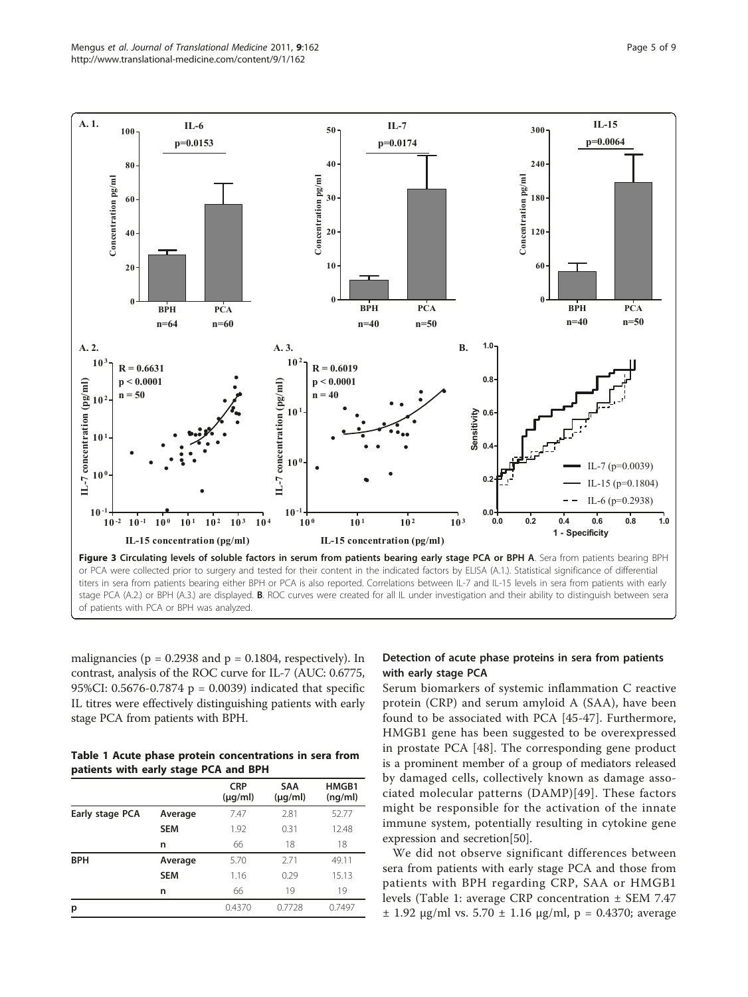<span id="page-4-0"></span>

malignancies ( $p = 0.2938$  and  $p = 0.1804$ , respectively). In contrast, analysis of the ROC curve for IL-7 (AUC: 0.6775, 95%CI: 0.5676-0.7874 p = 0.0039) indicated that specific IL titres were effectively distinguishing patients with early stage PCA from patients with BPH.

Table 1 Acute phase protein concentrations in sera from patients with early stage PCA and BPH

|                 |            | <b>CRP</b><br>$(\mu q/ml)$ | <b>SAA</b><br>$(\mu q/ml)$ | HMGB1<br>(nq/ml) |
|-----------------|------------|----------------------------|----------------------------|------------------|
| Early stage PCA | Average    | 7.47                       | 2.81                       | 52.77            |
|                 | <b>SEM</b> | 1.92                       | 0.31                       | 12.48            |
|                 | n          | 66                         | 18                         | 18               |
| <b>BPH</b>      | Average    | 5.70                       | 2.71                       | 49.11            |
|                 | <b>SEM</b> | 1.16                       | 0.29                       | 15.13            |
|                 | n          | 66                         | 19                         | 19               |
| р               |            | 0.4370                     | 0.7728                     | 0.7497           |
|                 |            |                            |                            |                  |

#### Detection of acute phase proteins in sera from patients with early stage PCA

Serum biomarkers of systemic inflammation C reactive protein (CRP) and serum amyloid A (SAA), have been found to be associated with PCA [[45-47](#page-7-0)]. Furthermore, HMGB1 gene has been suggested to be overexpressed in prostate PCA [[48](#page-7-0)]. The corresponding gene product is a prominent member of a group of mediators released by damaged cells, collectively known as damage associated molecular patterns (DAMP)[[49\]](#page-7-0). These factors might be responsible for the activation of the innate immune system, potentially resulting in cytokine gene expression and secretion[[50\]](#page-7-0).

We did not observe significant differences between sera from patients with early stage PCA and those from patients with BPH regarding CRP, SAA or HMGB1 levels (Table 1: average CRP concentration ± SEM 7.47  $±$  1.92 μg/ml vs. 5.70  $±$  1.16 μg/ml, p = 0.4370; average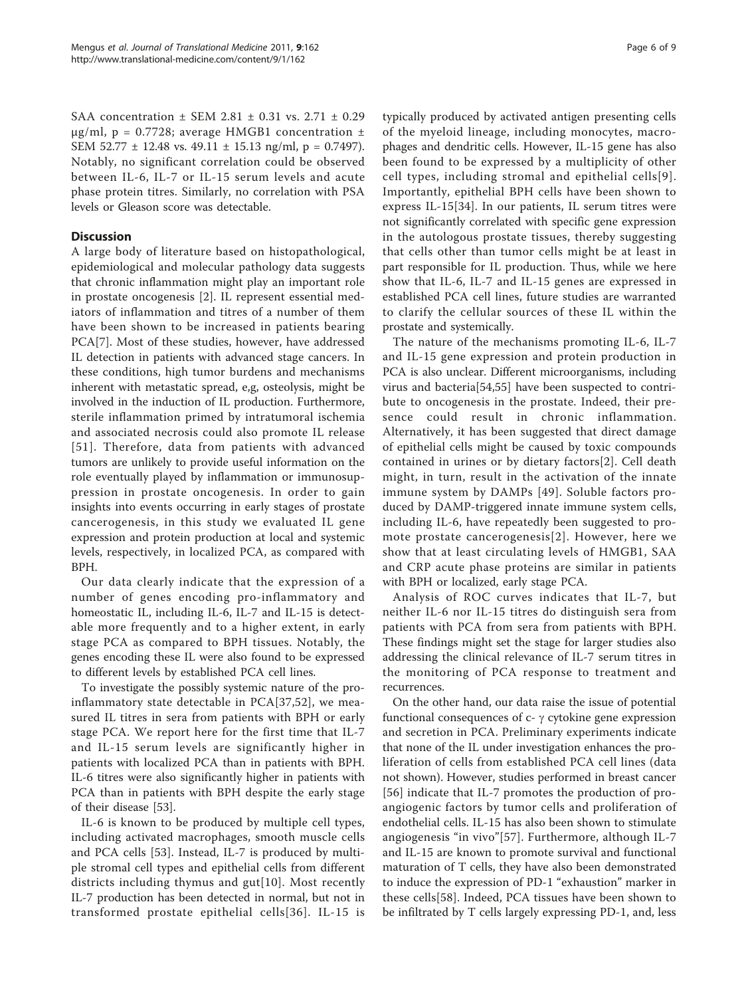SAA concentration ± SEM 2.81 ± 0.31 vs. 2.71 ± 0.29 μg/ml, p = 0.7728; average HMGB1 concentration  $±$ SEM 52.77 ± 12.48 vs. 49.11 ± 15.13 ng/ml, p = 0.7497). Notably, no significant correlation could be observed between IL-6, IL-7 or IL-15 serum levels and acute phase protein titres. Similarly, no correlation with PSA levels or Gleason score was detectable.

#### **Discussion**

A large body of literature based on histopathological, epidemiological and molecular pathology data suggests that chronic inflammation might play an important role in prostate oncogenesis [[2\]](#page-6-0). IL represent essential mediators of inflammation and titres of a number of them have been shown to be increased in patients bearing PCA[\[7](#page-6-0)]. Most of these studies, however, have addressed IL detection in patients with advanced stage cancers. In these conditions, high tumor burdens and mechanisms inherent with metastatic spread, e,g, osteolysis, might be involved in the induction of IL production. Furthermore, sterile inflammation primed by intratumoral ischemia and associated necrosis could also promote IL release [[51](#page-7-0)]. Therefore, data from patients with advanced tumors are unlikely to provide useful information on the role eventually played by inflammation or immunosuppression in prostate oncogenesis. In order to gain insights into events occurring in early stages of prostate cancerogenesis, in this study we evaluated IL gene expression and protein production at local and systemic levels, respectively, in localized PCA, as compared with BPH.

Our data clearly indicate that the expression of a number of genes encoding pro-inflammatory and homeostatic IL, including IL-6, IL-7 and IL-15 is detectable more frequently and to a higher extent, in early stage PCA as compared to BPH tissues. Notably, the genes encoding these IL were also found to be expressed to different levels by established PCA cell lines.

To investigate the possibly systemic nature of the proinflammatory state detectable in PCA[\[37,52](#page-7-0)], we measured IL titres in sera from patients with BPH or early stage PCA. We report here for the first time that IL-7 and IL-15 serum levels are significantly higher in patients with localized PCA than in patients with BPH. IL-6 titres were also significantly higher in patients with PCA than in patients with BPH despite the early stage of their disease [[53\]](#page-7-0).

IL-6 is known to be produced by multiple cell types, including activated macrophages, smooth muscle cells and PCA cells [[53](#page-7-0)]. Instead, IL-7 is produced by multiple stromal cell types and epithelial cells from different districts including thymus and gut[[10](#page-6-0)]. Most recently IL-7 production has been detected in normal, but not in transformed prostate epithelial cells[[36\]](#page-7-0). IL-15 is

typically produced by activated antigen presenting cells of the myeloid lineage, including monocytes, macrophages and dendritic cells. However, IL-15 gene has also been found to be expressed by a multiplicity of other cell types, including stromal and epithelial cells[[9\]](#page-6-0). Importantly, epithelial BPH cells have been shown to express IL-15[[34\]](#page-7-0). In our patients, IL serum titres were not significantly correlated with specific gene expression in the autologous prostate tissues, thereby suggesting that cells other than tumor cells might be at least in part responsible for IL production. Thus, while we here show that IL-6, IL-7 and IL-15 genes are expressed in established PCA cell lines, future studies are warranted to clarify the cellular sources of these IL within the prostate and systemically.

The nature of the mechanisms promoting IL-6, IL-7 and IL-15 gene expression and protein production in PCA is also unclear. Different microorganisms, including virus and bacteria[\[54,55](#page-7-0)] have been suspected to contribute to oncogenesis in the prostate. Indeed, their presence could result in chronic inflammation. Alternatively, it has been suggested that direct damage of epithelial cells might be caused by toxic compounds contained in urines or by dietary factors[[2](#page-6-0)]. Cell death might, in turn, result in the activation of the innate immune system by DAMPs [[49\]](#page-7-0). Soluble factors produced by DAMP-triggered innate immune system cells, including IL-6, have repeatedly been suggested to promote prostate cancerogenesis[[2\]](#page-6-0). However, here we show that at least circulating levels of HMGB1, SAA and CRP acute phase proteins are similar in patients with BPH or localized, early stage PCA.

Analysis of ROC curves indicates that IL-7, but neither IL-6 nor IL-15 titres do distinguish sera from patients with PCA from sera from patients with BPH. These findings might set the stage for larger studies also addressing the clinical relevance of IL-7 serum titres in the monitoring of PCA response to treatment and recurrences.

On the other hand, our data raise the issue of potential functional consequences of  $c$ -  $\gamma$  cytokine gene expression and secretion in PCA. Preliminary experiments indicate that none of the IL under investigation enhances the proliferation of cells from established PCA cell lines (data not shown). However, studies performed in breast cancer [[56](#page-7-0)] indicate that IL-7 promotes the production of proangiogenic factors by tumor cells and proliferation of endothelial cells. IL-15 has also been shown to stimulate angiogenesis "in vivo"[\[57\]](#page-7-0). Furthermore, although IL-7 and IL-15 are known to promote survival and functional maturation of T cells, they have also been demonstrated to induce the expression of PD-1 "exhaustion" marker in these cells[[58\]](#page-7-0). Indeed, PCA tissues have been shown to be infiltrated by T cells largely expressing PD-1, and, less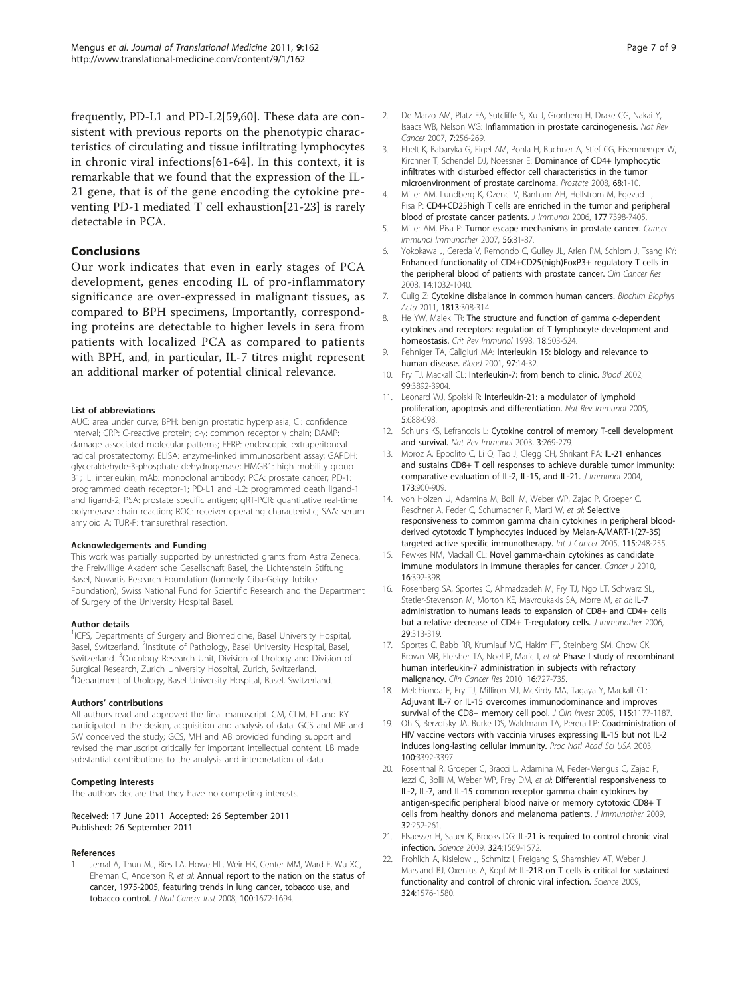<span id="page-6-0"></span>frequently, PD-L1 and PD-L2[[59,60\]](#page-7-0). These data are consistent with previous reports on the phenotypic characteristics of circulating and tissue infiltrating lymphocytes in chronic viral infections[[61](#page-7-0)-[64\]](#page-8-0). In this context, it is remarkable that we found that the expression of the IL-21 gene, that is of the gene encoding the cytokine preventing PD-1 mediated T cell exhaustion[21[-23\]](#page-7-0) is rarely detectable in PCA.

#### Conclusions

Our work indicates that even in early stages of PCA development, genes encoding IL of pro-inflammatory significance are over-expressed in malignant tissues, as compared to BPH specimens, Importantly, corresponding proteins are detectable to higher levels in sera from patients with localized PCA as compared to patients with BPH, and, in particular, IL-7 titres might represent an additional marker of potential clinical relevance.

#### List of abbreviations

AUC: area under curve; BPH: benign prostatic hyperplasia; CI: confidence interval; CRP: C-reactive protein; c-γ: common receptor γ chain; DAMP: damage associated molecular patterns; EERP: endoscopic extraperitoneal radical prostatectomy; ELISA: enzyme-linked immunosorbent assay; GAPDH: glyceraldehyde-3-phosphate dehydrogenase; HMGB1: high mobility group B1; IL: interleukin; mAb: monoclonal antibody; PCA: prostate cancer; PD-1: programmed death receptor-1; PD-L1 and -L2: programmed death ligand-1 and ligand-2; PSA: prostate specific antigen; qRT-PCR: quantitative real-time polymerase chain reaction; ROC: receiver operating characteristic; SAA: serum amyloid A; TUR-P: transurethral resection.

#### Acknowledgements and Funding

This work was partially supported by unrestricted grants from Astra Zeneca, the Freiwillige Akademische Gesellschaft Basel, the Lichtenstein Stiftung Basel, Novartis Research Foundation (formerly Ciba-Geigy Jubilee Foundation), Swiss National Fund for Scientific Research and the Department of Surgery of the University Hospital Basel.

#### Author details

<sup>1</sup>ICFS, Departments of Surgery and Biomedicine, Basel University Hospital, Basel, Switzerland. <sup>2</sup>Institute of Pathology, Basel University Hospital, Basel, Switzerland. <sup>3</sup>Oncology Research Unit, Division of Urology and Division of Surgical Research, Zurich University Hospital, Zurich, Switzerland. 4 Department of Urology, Basel University Hospital, Basel, Switzerland.

#### Authors' contributions

All authors read and approved the final manuscript. CM, CLM, ET and KY participated in the design, acquisition and analysis of data. GCS and MP and SW conceived the study; GCS, MH and AB provided funding support and revised the manuscript critically for important intellectual content. LB made substantial contributions to the analysis and interpretation of data.

#### Competing interests

The authors declare that they have no competing interests.

#### Received: 17 June 2011 Accepted: 26 September 2011 Published: 26 September 2011

#### References

1. Jemal A, Thun MJ, Ries LA, Howe HL, Weir HK, Center MM, Ward E, Wu XC, Eheman C, Anderson R, et al: [Annual report to the nation on the status of](http://www.ncbi.nlm.nih.gov/pubmed/19033571?dopt=Abstract) [cancer, 1975-2005, featuring trends in lung cancer, tobacco use, and](http://www.ncbi.nlm.nih.gov/pubmed/19033571?dopt=Abstract) [tobacco control.](http://www.ncbi.nlm.nih.gov/pubmed/19033571?dopt=Abstract) J Natl Cancer Inst 2008, 100:1672-1694.

- 2. De Marzo AM, Platz EA, Sutcliffe S, Xu J, Gronberg H, Drake CG, Nakai Y, Isaacs WB, Nelson WG: [Inflammation in prostate carcinogenesis.](http://www.ncbi.nlm.nih.gov/pubmed/17384581?dopt=Abstract) Nat Rev Cancer 2007, 7:256-269.
- 3. Ebelt K, Babaryka G, Figel AM, Pohla H, Buchner A, Stief CG, Eisenmenger W, Kirchner T, Schendel DJ, Noessner E: [Dominance of CD4+ lymphocytic](http://www.ncbi.nlm.nih.gov/pubmed/17948280?dopt=Abstract) [infiltrates with disturbed effector cell characteristics in the tumor](http://www.ncbi.nlm.nih.gov/pubmed/17948280?dopt=Abstract) [microenvironment of prostate carcinoma.](http://www.ncbi.nlm.nih.gov/pubmed/17948280?dopt=Abstract) Prostate 2008, 68:1-10.
- 4. Miller AM, Lundberg K, Ozenci V, Banham AH, Hellstrom M, Egevad L, Pisa P: [CD4+CD25high T cells are enriched in the tumor and peripheral](http://www.ncbi.nlm.nih.gov/pubmed/17082659?dopt=Abstract) [blood of prostate cancer patients.](http://www.ncbi.nlm.nih.gov/pubmed/17082659?dopt=Abstract) J Immunol 2006, 177:7398-7405.
- 5. Miller AM, Pisa P: [Tumor escape mechanisms in prostate cancer.](http://www.ncbi.nlm.nih.gov/pubmed/16362411?dopt=Abstract) Cancer Immunol Immunother 2007, 56:81-87.
- 6. Yokokawa J, Cereda V, Remondo C, Gulley JL, Arlen PM, Schlom J, Tsang KY: [Enhanced functionality of CD4+CD25\(high\)FoxP3+ regulatory T cells in](http://www.ncbi.nlm.nih.gov/pubmed/18281535?dopt=Abstract) [the peripheral blood of patients with prostate cancer.](http://www.ncbi.nlm.nih.gov/pubmed/18281535?dopt=Abstract) Clin Cancer Res 2008, 14:1032-1040.
- 7. Culig Z: [Cytokine disbalance in common human cancers.](http://www.ncbi.nlm.nih.gov/pubmed/21167870?dopt=Abstract) Biochim Biophys Acta 2011, 1813:308-314.
- 8. He YW, Malek TR: [The structure and function of gamma c-dependent](http://www.ncbi.nlm.nih.gov/pubmed/9862091?dopt=Abstract) [cytokines and receptors: regulation of T lymphocyte development and](http://www.ncbi.nlm.nih.gov/pubmed/9862091?dopt=Abstract) [homeostasis.](http://www.ncbi.nlm.nih.gov/pubmed/9862091?dopt=Abstract) Crit Rev Immunol 1998, 18:503-524.
- 9. Fehniger TA, Caligiuri MA: [Interleukin 15: biology and relevance to](http://www.ncbi.nlm.nih.gov/pubmed/11133738?dopt=Abstract) [human disease.](http://www.ncbi.nlm.nih.gov/pubmed/11133738?dopt=Abstract) Blood 2001, 97:14-32.
- 10. Fry TJ, Mackall CL: [Interleukin-7: from bench to clinic.](http://www.ncbi.nlm.nih.gov/pubmed/12010786?dopt=Abstract) Blood 2002, 99:3892-3904.
- 11. Leonard WJ, Spolski R: [Interleukin-21: a modulator of lymphoid](http://www.ncbi.nlm.nih.gov/pubmed/16138102?dopt=Abstract) [proliferation, apoptosis and differentiation.](http://www.ncbi.nlm.nih.gov/pubmed/16138102?dopt=Abstract) Nat Rev Immunol 2005, 5:688-698.
- 12. Schluns KS, Lefrancois L: [Cytokine control of memory T-cell development](http://www.ncbi.nlm.nih.gov/pubmed/12669018?dopt=Abstract) [and survival.](http://www.ncbi.nlm.nih.gov/pubmed/12669018?dopt=Abstract) Nat Rev Immunol 2003, 3:269-279.
- 13. Moroz A, Eppolito C, Li Q, Tao J, Clegg CH, Shrikant PA: [IL-21 enhances](http://www.ncbi.nlm.nih.gov/pubmed/15240677?dopt=Abstract) [and sustains CD8+ T cell responses to achieve durable tumor immunity:](http://www.ncbi.nlm.nih.gov/pubmed/15240677?dopt=Abstract) [comparative evaluation of IL-2, IL-15, and IL-21.](http://www.ncbi.nlm.nih.gov/pubmed/15240677?dopt=Abstract) J Immunol 2004, 173:900-909.
- 14. von Holzen U, Adamina M, Bolli M, Weber WP, Zajac P, Groeper C, Reschner A, Feder C, Schumacher R, Marti W, et al: [Selective](http://www.ncbi.nlm.nih.gov/pubmed/15688403?dopt=Abstract) responsiveness [to common gamma chain cytokines in peripheral blood](http://www.ncbi.nlm.nih.gov/pubmed/15688403?dopt=Abstract)[derived cytotoxic T lymphocytes induced by Melan-A/MART-1\(27-35\)](http://www.ncbi.nlm.nih.gov/pubmed/15688403?dopt=Abstract) [targeted active specific immunotherapy.](http://www.ncbi.nlm.nih.gov/pubmed/15688403?dopt=Abstract) Int J Cancer 2005, 115:248-255.
- 15. Fewkes NM, Mackall CL: [Novel gamma-chain cytokines as candidate](http://www.ncbi.nlm.nih.gov/pubmed/20693852?dopt=Abstract) [immune modulators in immune therapies for cancer.](http://www.ncbi.nlm.nih.gov/pubmed/20693852?dopt=Abstract) Cancer J 2010, 16:392-398.
- 16. Rosenberg SA, Sportes C, Ahmadzadeh M, Fry TJ, Ngo LT, Schwarz SL, Stetler-Stevenson M, Morton KE, Mavroukakis SA, Morre M, et al: [IL-7](http://www.ncbi.nlm.nih.gov/pubmed/16699374?dopt=Abstract) [administration to humans leads to expansion of CD8+ and CD4+ cells](http://www.ncbi.nlm.nih.gov/pubmed/16699374?dopt=Abstract) [but a relative decrease of CD4+ T-regulatory cells.](http://www.ncbi.nlm.nih.gov/pubmed/16699374?dopt=Abstract) *J Immunother 2006*, 29:313-319.
- 17. Sportes C, Babb RR, Krumlauf MC, Hakim FT, Steinberg SM, Chow CK, Brown MR, Fleisher TA, Noel P, Maric I, et al: [Phase I study of recombinant](http://www.ncbi.nlm.nih.gov/pubmed/20068111?dopt=Abstract) [human interleukin-7 administration in subjects with refractory](http://www.ncbi.nlm.nih.gov/pubmed/20068111?dopt=Abstract) [malignancy.](http://www.ncbi.nlm.nih.gov/pubmed/20068111?dopt=Abstract) Clin Cancer Res 2010, 16:727-735.
- 18. Melchionda F, Fry TJ, Milliron MJ, McKirdy MA, Tagaya Y, Mackall CL: [Adjuvant IL-7 or IL-15 overcomes immunodominance and improves](http://www.ncbi.nlm.nih.gov/pubmed/15841203?dopt=Abstract) [survival of the CD8+ memory cell pool.](http://www.ncbi.nlm.nih.gov/pubmed/15841203?dopt=Abstract) J Clin Invest 2005, 115:1177-1187.
- 19. Oh S, Berzofsky JA, Burke DS, Waldmann TA, Perera LP: [Coadministration of](http://www.ncbi.nlm.nih.gov/pubmed/12626740?dopt=Abstract) [HIV vaccine vectors with vaccinia viruses expressing IL-15 but not IL-2](http://www.ncbi.nlm.nih.gov/pubmed/12626740?dopt=Abstract) [induces long-lasting cellular immunity.](http://www.ncbi.nlm.nih.gov/pubmed/12626740?dopt=Abstract) Proc Natl Acad Sci USA 2003, 100:3392-3397.
- 20. Rosenthal R, Groeper C, Bracci L, Adamina M, Feder-Mengus C, Zajac P, Iezzi G, Bolli M, Weber WP, Frey DM, et al: [Differential responsiveness to](http://www.ncbi.nlm.nih.gov/pubmed/19242375?dopt=Abstract) [IL-2, IL-7, and IL-15 common receptor gamma chain cytokines by](http://www.ncbi.nlm.nih.gov/pubmed/19242375?dopt=Abstract) [antigen-specific peripheral blood naive or memory cytotoxic CD8+ T](http://www.ncbi.nlm.nih.gov/pubmed/19242375?dopt=Abstract) [cells from healthy donors and melanoma patients.](http://www.ncbi.nlm.nih.gov/pubmed/19242375?dopt=Abstract) J Immunother 2009, 32:252-261.
- 21. Elsaesser H, Sauer K, Brooks DG: [IL-21 is required to control chronic viral](http://www.ncbi.nlm.nih.gov/pubmed/19423777?dopt=Abstract) [infection.](http://www.ncbi.nlm.nih.gov/pubmed/19423777?dopt=Abstract) Science 2009, 324:1569-1572.
- 22. Frohlich A, Kisielow J, Schmitz I, Freigang S, Shamshiev AT, Weber J, Marsland BJ, Oxenius A, Kopf M: [IL-21R on T cells is critical for sustained](http://www.ncbi.nlm.nih.gov/pubmed/19478140?dopt=Abstract) [functionality and control of chronic viral infection.](http://www.ncbi.nlm.nih.gov/pubmed/19478140?dopt=Abstract) Science 2009, 324:1576-1580.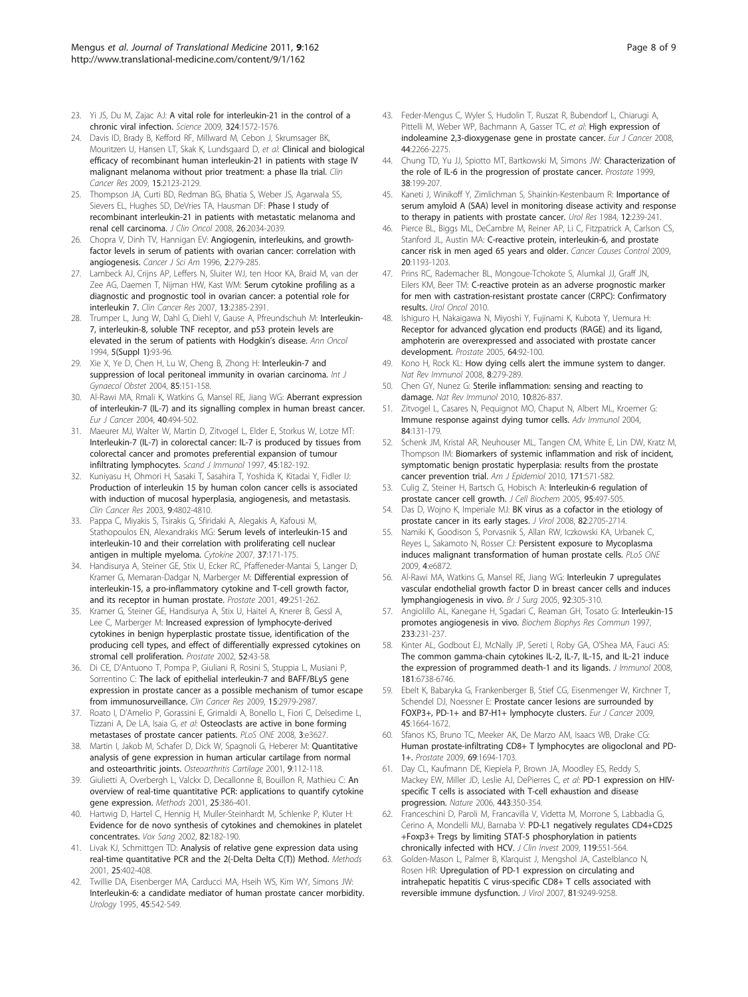- <span id="page-7-0"></span>23. Yi JS, Du M, Zajac AJ: [A vital role for interleukin-21 in the control of a](http://www.ncbi.nlm.nih.gov/pubmed/19443735?dopt=Abstract) [chronic viral infection.](http://www.ncbi.nlm.nih.gov/pubmed/19443735?dopt=Abstract) Science 2009, 324:1572-1576.
- 24. Davis ID, Brady B, Kefford RF, Millward M, Cebon J, Skrumsager BK, Mouritzen U, Hansen LT, Skak K, Lundsgaard D, et al: [Clinical and biological](http://www.ncbi.nlm.nih.gov/pubmed/19276257?dopt=Abstract) [efficacy of recombinant human interleukin-21 in patients with stage IV](http://www.ncbi.nlm.nih.gov/pubmed/19276257?dopt=Abstract) [malignant melanoma without prior treatment: a phase IIa trial.](http://www.ncbi.nlm.nih.gov/pubmed/19276257?dopt=Abstract) Clin Cancer Res 2009, 15:2123-2129.
- 25. Thompson JA, Curti BD, Redman BG, Bhatia S, Weber JS, Agarwala SS, Sievers EL, Hughes SD, DeVries TA, Hausman DF: [Phase I study of](http://www.ncbi.nlm.nih.gov/pubmed/18347008?dopt=Abstract) [recombinant interleukin-21 in patients with metastatic melanoma and](http://www.ncbi.nlm.nih.gov/pubmed/18347008?dopt=Abstract) [renal cell carcinoma.](http://www.ncbi.nlm.nih.gov/pubmed/18347008?dopt=Abstract) J Clin Oncol 2008, 26:2034-2039.
- 26. Chopra V, Dinh TV, Hannigan EV: [Angiogenin, interleukins, and growth](http://www.ncbi.nlm.nih.gov/pubmed/9166545?dopt=Abstract)[factor levels in serum of patients with ovarian cancer: correlation with](http://www.ncbi.nlm.nih.gov/pubmed/9166545?dopt=Abstract) [angiogenesis.](http://www.ncbi.nlm.nih.gov/pubmed/9166545?dopt=Abstract) Cancer J Sci Am 1996, 2:279-285.
- 27. Lambeck AJ, Crijns AP, Leffers N, Sluiter WJ, ten Hoor KA, Braid M, van der Zee AG, Daemen T, Nijman HW, Kast WM: [Serum cytokine profiling as a](http://www.ncbi.nlm.nih.gov/pubmed/17438097?dopt=Abstract) [diagnostic and prognostic tool in ovarian cancer: a potential role for](http://www.ncbi.nlm.nih.gov/pubmed/17438097?dopt=Abstract) [interleukin 7.](http://www.ncbi.nlm.nih.gov/pubmed/17438097?dopt=Abstract) Clin Cancer Res 2007, 13:2385-2391.
- 28. Trumper L, Jung W, Dahl G, Diehl V, Gause A, Pfreundschuh M: [Interleukin-](http://www.ncbi.nlm.nih.gov/pubmed/8172827?dopt=Abstract)[7, interleukin-8, soluble TNF receptor, and p53 protein levels are](http://www.ncbi.nlm.nih.gov/pubmed/8172827?dopt=Abstract) [elevated in the serum of patients with Hodgkin](http://www.ncbi.nlm.nih.gov/pubmed/8172827?dopt=Abstract)'s disease. Ann Oncol 1994, 5(Suppl 1):93-96.
- 29. Xie X, Ye D, Chen H, Lu W, Cheng B, Zhong H: [Interleukin-7 and](http://www.ncbi.nlm.nih.gov/pubmed/15099777?dopt=Abstract) [suppression of local peritoneal immunity in ovarian carcinoma.](http://www.ncbi.nlm.nih.gov/pubmed/15099777?dopt=Abstract) Int J Gynaecol Obstet 2004, 85:151-158.
- 30. Al-Rawi MA, Rmali K, Watkins G, Mansel RE, Jiang WG: [Aberrant expression](http://www.ncbi.nlm.nih.gov/pubmed/14962714?dopt=Abstract) [of interleukin-7 \(IL-7\) and its signalling complex in human breast cancer.](http://www.ncbi.nlm.nih.gov/pubmed/14962714?dopt=Abstract) Eur J Cancer 2004, 40:494-502.
- 31. Maeurer MJ, Walter W, Martin D, Zitvogel L, Elder E, Storkus W, Lotze MT: [Interleukin-7 \(IL-7\) in colorectal cancer: IL-7 is produced by tissues from](http://www.ncbi.nlm.nih.gov/pubmed/9042431?dopt=Abstract) [colorectal cancer and promotes preferential expansion of tumour](http://www.ncbi.nlm.nih.gov/pubmed/9042431?dopt=Abstract) [infiltrating lymphocytes.](http://www.ncbi.nlm.nih.gov/pubmed/9042431?dopt=Abstract) Scand J Immunol 1997, 45:182-192.
- 32. Kuniyasu H, Ohmori H, Sasaki T, Sasahira T, Yoshida K, Kitadai Y, Fidler IJ: [Production of interleukin 15 by human colon cancer cells is associated](http://www.ncbi.nlm.nih.gov/pubmed/14581351?dopt=Abstract) [with induction of mucosal hyperplasia, angiogenesis, and metastasis.](http://www.ncbi.nlm.nih.gov/pubmed/14581351?dopt=Abstract) Clin Cancer Res 2003, 9:4802-4810.
- 33. Pappa C, Miyakis S, Tsirakis G, Sfiridaki A, Alegakis A, Kafousi M, Stathopoulos EN, Alexandrakis MG: [Serum levels of interleukin-15 and](http://www.ncbi.nlm.nih.gov/pubmed/17446083?dopt=Abstract) [interleukin-10 and their correlation with proliferating cell nuclear](http://www.ncbi.nlm.nih.gov/pubmed/17446083?dopt=Abstract) [antigen in multiple myeloma.](http://www.ncbi.nlm.nih.gov/pubmed/17446083?dopt=Abstract) Cytokine 2007, 37:171-175.
- 34. Handisurya A, Steiner GE, Stix U, Ecker RC, Pfaffeneder-Mantai S, Langer D, Kramer G, Memaran-Dadgar N, Marberger M: [Differential expression of](http://www.ncbi.nlm.nih.gov/pubmed/11746271?dopt=Abstract) [interleukin-15, a pro-inflammatory cytokine and T-cell growth factor,](http://www.ncbi.nlm.nih.gov/pubmed/11746271?dopt=Abstract) [and its receptor in human prostate.](http://www.ncbi.nlm.nih.gov/pubmed/11746271?dopt=Abstract) Prostate 2001, 49:251-262.
- 35. Kramer G, Steiner GE, Handisurya A, Stix U, Haitel A, Knerer B, Gessl A, Lee C, Marberger M: [Increased expression of lymphocyte-derived](http://www.ncbi.nlm.nih.gov/pubmed/11992619?dopt=Abstract) [cytokines in benign hyperplastic prostate tissue, identification of the](http://www.ncbi.nlm.nih.gov/pubmed/11992619?dopt=Abstract) [producing cell types, and effect of differentially expressed cytokines on](http://www.ncbi.nlm.nih.gov/pubmed/11992619?dopt=Abstract) [stromal cell proliferation.](http://www.ncbi.nlm.nih.gov/pubmed/11992619?dopt=Abstract) Prostate 2002, 52:43-58.
- 36. Di CE, D'Antuono T, Pompa P, Giuliani R, Rosini S, Stuppia L, Musiani P, Sorrentino C: [The lack of epithelial interleukin-7 and BAFF/BLyS gene](http://www.ncbi.nlm.nih.gov/pubmed/19366834?dopt=Abstract) [expression in prostate cancer as a possible mechanism of tumor escape](http://www.ncbi.nlm.nih.gov/pubmed/19366834?dopt=Abstract) [from immunosurveillance.](http://www.ncbi.nlm.nih.gov/pubmed/19366834?dopt=Abstract) Clin Cancer Res 2009, 15:2979-2987.
- 37. Roato I, D'Amelio P, Gorassini E, Grimaldi A, Bonello L, Fiori C, Delsedime L, Tizzani A, De LA, Isaia G, et al: [Osteoclasts are active in bone forming](http://www.ncbi.nlm.nih.gov/pubmed/18978943?dopt=Abstract) [metastases of prostate cancer patients.](http://www.ncbi.nlm.nih.gov/pubmed/18978943?dopt=Abstract) PLoS ONE 2008, 3:e3627.
- 38. Martin I, Jakob M, Schafer D, Dick W, Spagnoli G, Heberer M: [Quantitative](http://www.ncbi.nlm.nih.gov/pubmed/11237658?dopt=Abstract) [analysis of gene expression in human articular cartilage from normal](http://www.ncbi.nlm.nih.gov/pubmed/11237658?dopt=Abstract) [and osteoarthritic joints.](http://www.ncbi.nlm.nih.gov/pubmed/11237658?dopt=Abstract) Osteoarthritis Cartilage 2001, 9:112-118.
- 39. Giulietti A, Overbergh L, Valckx D, Decallonne B, Bouillon R, Mathieu C: [An](http://www.ncbi.nlm.nih.gov/pubmed/11846608?dopt=Abstract) [overview of real-time quantitative PCR: applications to quantify cytokine](http://www.ncbi.nlm.nih.gov/pubmed/11846608?dopt=Abstract) [gene expression.](http://www.ncbi.nlm.nih.gov/pubmed/11846608?dopt=Abstract) Methods 2001, 25:386-401.
- 40. Hartwig D, Hartel C, Hennig H, Muller-Steinhardt M, Schlenke P, Kluter H: [Evidence for de novo synthesis of cytokines and chemokines in platelet](http://www.ncbi.nlm.nih.gov/pubmed/12047512?dopt=Abstract) [concentrates.](http://www.ncbi.nlm.nih.gov/pubmed/12047512?dopt=Abstract) Vox Sang 2002, 82:182-190.
- 41. Livak KJ, Schmittgen TD: [Analysis of relative gene expression data using](http://www.ncbi.nlm.nih.gov/pubmed/11846609?dopt=Abstract) [real-time quantitative PCR and the 2\(-Delta Delta C\(T\)\) Method.](http://www.ncbi.nlm.nih.gov/pubmed/11846609?dopt=Abstract) Methods 2001, 25:402-408.
- 42. Twillie DA, Eisenberger MA, Carducci MA, Hseih WS, Kim WY, Simons JW: [Interleukin-6: a candidate mediator of human prostate cancer morbidity.](http://www.ncbi.nlm.nih.gov/pubmed/7879350?dopt=Abstract) Urology 1995, 45:542-549.
- 43. Feder-Mengus C, Wyler S, Hudolin T, Ruszat R, Bubendorf L, Chiarugi A, Pittelli M, Weber WP, Bachmann A, Gasser TC, et al: [High expression of](http://www.ncbi.nlm.nih.gov/pubmed/18619832?dopt=Abstract) [indoleamine 2,3-dioxygenase gene in prostate cancer.](http://www.ncbi.nlm.nih.gov/pubmed/18619832?dopt=Abstract) Eur J Cancer 2008, 44:2266-2275.
- 44. Chung TD, Yu JJ, Spiotto MT, Bartkowski M, Simons JW: [Characterization of](http://www.ncbi.nlm.nih.gov/pubmed/10068344?dopt=Abstract) [the role of IL-6 in the progression of prostate cancer.](http://www.ncbi.nlm.nih.gov/pubmed/10068344?dopt=Abstract) Prostate 1999, 38:199-207.
- 45. Kaneti J, Winikoff Y, Zimlichman S, Shainkin-Kestenbaum R: [Importance of](http://www.ncbi.nlm.nih.gov/pubmed/6516095?dopt=Abstract) [serum amyloid A \(SAA\) level in monitoring disease activity and response](http://www.ncbi.nlm.nih.gov/pubmed/6516095?dopt=Abstract) [to therapy in patients with prostate cancer.](http://www.ncbi.nlm.nih.gov/pubmed/6516095?dopt=Abstract) Urol Res 1984, 12:239-241.
- 46. Pierce BL, Biggs ML, DeCambre M, Reiner AP, Li C, Fitzpatrick A, Carlson CS, Stanford JL, Austin MA: [C-reactive protein, interleukin-6, and prostate](http://www.ncbi.nlm.nih.gov/pubmed/19267250?dopt=Abstract) [cancer risk in men aged 65 years and older.](http://www.ncbi.nlm.nih.gov/pubmed/19267250?dopt=Abstract) Cancer Causes Control 2009, 20:1193-1203.
- 47. Prins RC, Rademacher BL, Mongoue-Tchokote S, Alumkal JJ, Graff JN, Eilers KM, Beer TM: C-reactive protein as an adverse prognostic marker for men with castration-resistant prostate cancer (CRPC): Confirmatory results. Urol Oncol 2010.
- Ishiguro H, Nakaigawa N, Miyoshi Y, Fujinami K, Kubota Y, Uemura H: [Receptor for advanced glycation end products \(RAGE\) and its ligand,](http://www.ncbi.nlm.nih.gov/pubmed/15666359?dopt=Abstract) [amphoterin are overexpressed and associated with prostate cancer](http://www.ncbi.nlm.nih.gov/pubmed/15666359?dopt=Abstract) [development.](http://www.ncbi.nlm.nih.gov/pubmed/15666359?dopt=Abstract) Prostate 2005, 64:92-100.
- 49. Kono H, Rock KL: How dving cells alert the immune system to danger. Nat Rev Immunol 2008, 8:279-289.
- 50. Chen GY, Nunez G: [Sterile inflammation: sensing and reacting to](http://www.ncbi.nlm.nih.gov/pubmed/21088683?dopt=Abstract) [damage.](http://www.ncbi.nlm.nih.gov/pubmed/21088683?dopt=Abstract) Nat Rev Immunol 2010, 10:826-837.
- Zitvogel L, Casares N, Pequignot MO, Chaput N, Albert ML, Kroemer G: [Immune response against dying tumor cells.](http://www.ncbi.nlm.nih.gov/pubmed/15246252?dopt=Abstract) Adv Immunol 2004, 84:131-179.
- 52. Schenk JM, Kristal AR, Neuhouser ML, Tangen CM, White E, Lin DW, Kratz M, Thompson IM: [Biomarkers of systemic inflammation and risk of incident,](http://www.ncbi.nlm.nih.gov/pubmed/20142396?dopt=Abstract) [symptomatic benign prostatic hyperplasia: results from the prostate](http://www.ncbi.nlm.nih.gov/pubmed/20142396?dopt=Abstract) [cancer prevention trial.](http://www.ncbi.nlm.nih.gov/pubmed/20142396?dopt=Abstract) Am J Epidemiol 2010, 171:571-582.
- 53. Culig Z, Steiner H, Bartsch G, Hobisch A: [Interleukin-6 regulation of](http://www.ncbi.nlm.nih.gov/pubmed/15838876?dopt=Abstract) [prostate cancer cell growth.](http://www.ncbi.nlm.nih.gov/pubmed/15838876?dopt=Abstract) J Cell Biochem 2005, 95:497-505.
- 54. Das D, Wojno K, Imperiale MJ: [BK virus as a cofactor in the etiology of](http://www.ncbi.nlm.nih.gov/pubmed/18160432?dopt=Abstract) [prostate cancer in its early stages.](http://www.ncbi.nlm.nih.gov/pubmed/18160432?dopt=Abstract) J Virol 2008, 82:2705-2714.
- 55. Namiki K, Goodison S, Porvasnik S, Allan RW, Iczkowski KA, Urbanek C, Reyes L, Sakamoto N, Rosser CJ: [Persistent exposure to Mycoplasma](http://www.ncbi.nlm.nih.gov/pubmed/19721714?dopt=Abstract) [induces malignant transformation of human prostate cells.](http://www.ncbi.nlm.nih.gov/pubmed/19721714?dopt=Abstract) PLoS ONE 2009, 4:e6872.
- 56. Al-Rawi MA, Watkins G, Mansel RE, Jiang WG: [Interleukin 7 upregulates](http://www.ncbi.nlm.nih.gov/pubmed/15672426?dopt=Abstract) [vascular endothelial growth factor D in breast cancer cells and induces](http://www.ncbi.nlm.nih.gov/pubmed/15672426?dopt=Abstract) [lymphangiogenesis in vivo.](http://www.ncbi.nlm.nih.gov/pubmed/15672426?dopt=Abstract) Br J Surg 2005, 92:305-310.
- 57. Angiolillo AL, Kanegane H, Sgadari C, Reaman GH, Tosato G: [Interleukin-15](http://www.ncbi.nlm.nih.gov/pubmed/9144429?dopt=Abstract) [promotes angiogenesis in vivo.](http://www.ncbi.nlm.nih.gov/pubmed/9144429?dopt=Abstract) Biochem Biophys Res Commun 1997, 233:231-237.
- 58. Kinter AL, Godbout EJ, McNally JP, Sereti I, Roby GA, O'Shea MA, Fauci AS: [The common gamma-chain cytokines IL-2, IL-7, IL-15, and IL-21 induce](http://www.ncbi.nlm.nih.gov/pubmed/18981091?dopt=Abstract) [the expression of programmed death-1 and its ligands.](http://www.ncbi.nlm.nih.gov/pubmed/18981091?dopt=Abstract) J Immunol 2008, 181:6738-6746.
- 59. Ebelt K, Babaryka G, Frankenberger B, Stief CG, Eisenmenger W, Kirchner T, Schendel DJ, Noessner E: [Prostate cancer lesions are surrounded by](http://www.ncbi.nlm.nih.gov/pubmed/19318244?dopt=Abstract) [FOXP3+, PD-1+ and B7-H1+ lymphocyte clusters.](http://www.ncbi.nlm.nih.gov/pubmed/19318244?dopt=Abstract) Eur J Cancer 2009, 45:1664-1672.
- 60. Sfanos KS, Bruno TC, Meeker AK, De Marzo AM, Isaacs WB, Drake CG: [Human prostate-infiltrating CD8+ T lymphocytes are oligoclonal and PD-](http://www.ncbi.nlm.nih.gov/pubmed/19670224?dopt=Abstract)[1+.](http://www.ncbi.nlm.nih.gov/pubmed/19670224?dopt=Abstract) Prostate 2009, 69:1694-1703.
- 61. Day CL, Kaufmann DE, Kiepiela P, Brown JA, Moodley ES, Reddy S, Mackey EW, Miller JD, Leslie AJ, DePierres C, et al: [PD-1 expression on HIV](http://www.ncbi.nlm.nih.gov/pubmed/16921384?dopt=Abstract)[specific T cells is associated with T-cell exhaustion and disease](http://www.ncbi.nlm.nih.gov/pubmed/16921384?dopt=Abstract) [progression.](http://www.ncbi.nlm.nih.gov/pubmed/16921384?dopt=Abstract) Nature 2006, 443:350-354.
- 62. Franceschini D, Paroli M, Francavilla V, Videtta M, Morrone S, Labbadia G, Cerino A, Mondelli MU, Barnaba V: PD-L1 [negatively regulates CD4+CD25](http://www.ncbi.nlm.nih.gov/pubmed/19229109?dopt=Abstract) [+Foxp3+ Tregs by limiting STAT-5 phosphorylation in patients](http://www.ncbi.nlm.nih.gov/pubmed/19229109?dopt=Abstract) [chronically infected with HCV.](http://www.ncbi.nlm.nih.gov/pubmed/19229109?dopt=Abstract) J Clin Invest 2009, 119:551-564.
- 63. Golden-Mason L, Palmer B, Klarquist J, Mengshol JA, Castelblanco N, Rosen HR: [Upregulation of PD-1 expression on circulating and](http://www.ncbi.nlm.nih.gov/pubmed/17567698?dopt=Abstract) [intrahepatic hepatitis C virus-specific CD8+ T cells associated with](http://www.ncbi.nlm.nih.gov/pubmed/17567698?dopt=Abstract) [reversible immune dysfunction.](http://www.ncbi.nlm.nih.gov/pubmed/17567698?dopt=Abstract) J Virol 2007, 81:9249-9258.